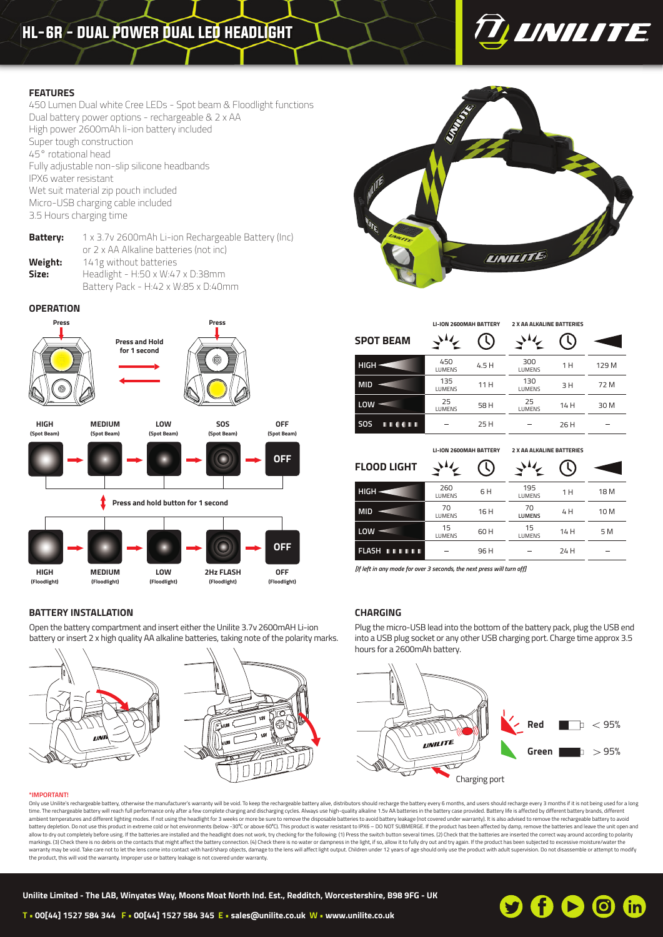# HL-6R - DUAL POWER DUAL LED HEADLIGHT



# **FEATURES**

450 Lumen Dual white Cree LEDs - Spot beam & Floodlight functions Dual battery power options - rechargeable & 2 x AA High power 2600mAh li-ion battery included Super tough construction 45° rotational head Fully adjustable non-slip silicone headbands IPX6 water resistant Wet suit material zip pouch included Micro-USB charging cable included 3.5 Hours charging time

**Battery:** 1 x 3.7v 2600mAh Li-ion Rechargeable Battery (Inc) or 2 x AA Alkaline batteries (not inc) **Weight:** 141g without batteries **Size:** Headlight - H:50 x W:47 x D:38mm Battery Pack - H:42 x W:85 x D:40mm

### **OPERATION**



**(Floodlight)**

Open the battery compartment and insert either the Unilite 3.7v 2600mAH Li-ion battery or insert 2 x high quality AA alkaline batteries, taking note of the polarity marks.

**(Floodlight)**

**(Floodlight)**

# **LINILITE**

|                              | LI-ION 2600MAH BATTERY        |       | <b>2 X AA ALKALINE BATTERIES</b> |      |       |
|------------------------------|-------------------------------|-------|----------------------------------|------|-------|
| <b>SPOT BEAM</b>             |                               |       |                                  |      |       |
| $HIGH \equiv$                | 450<br>LUMENS                 | 4.5 H | 300<br><b>LUMENS</b>             | 1 H  | 129 M |
| <b>MID</b>                   | 135<br>LUMENS                 | 11 H  | 130<br><b>LUMENS</b>             | 3H   | 72 M  |
| LOW                          | 25<br>LUMENS                  | 58 H  | 25<br><b>LUMENS</b>              | 14 H | 30 M  |
| <b>HI 00 H</b><br><b>SOS</b> |                               | 25 H  |                                  | 26 H |       |
|                              | <b>LI-ION 2600MAH BATTERY</b> |       | <b>2 X AA ALKALINE BATTERIES</b> |      |       |
| <b>FLOOD LIGHT</b>           |                               |       |                                  |      |       |
| $HIGH \rightarrow$           | 260<br>LUMENS                 | 6H    | 195<br><b>LUMENS</b>             | 1 H  | 18 M  |
| <b>MID</b>                   | 70<br>LUMENS                  | 16 H  | 70<br><b>LUMENS</b>              | 4 H  | 10 M  |

L. *[If left in any mode for over 3 seconds, the next press will turn off]*

15  $L_{\text{LUMENS}}$  60 H

### **CHARGING**

**FLASH**

 $LOW -$ 

Plug the micro-USB lead into the bottom of the battery pack, plug the USB end into a USB plug socket or any other USB charging port. Charge time approx 3.5 hours for a 2600mAh battery.

96 H

# $Red$   $\Box$  < 95% **UNILITE Green**  $\blacksquare$   $>$  95% Charging port

### **\*IMPORTANT!**

**BATTERY INSTALLATION**

**(Floodlight)**

**(Floodlight)**

Only use Unilitie's rechargeable battery, otherwise the manufacturer's warranty will be void. To keep the rechargeable battery alive, distributors should recharge the battery every 6 months, and users should recharge every time. The rechargeable battery will reach full performance only after a few complete charging and discharging cycles. Always use high-quality alkaline 1.5v AA batteries in the battery case provided. Battery life is affecte ambient temperatures and different lighting modes. If not using the headlight for 3 weeks or more be sure to remove the disposable batteries to avoid battery leakage (not covered under warranty). It is also advised to remo battery depletion. Do not use this product in extreme cold or hot environments (below -30°C or above 60°C). This product is water resistant to IPX6 – DO NOT SUBMERGE. If the product has been affected by damp, remove the ba markings. (3) Check there is no debris on the contacts that might affect the battery connection. (4) Check there is no water or dampness in the light, if so, allow it to fully dry out and try again. If the product has been the product, this will void the warranty. Improper use or battery leakage is not covered under warranty.



5 M

 $\overline{a}$ 

14 H

15 **LUMENS** 

 $\overline{\phantom{0}}$ 

24 H